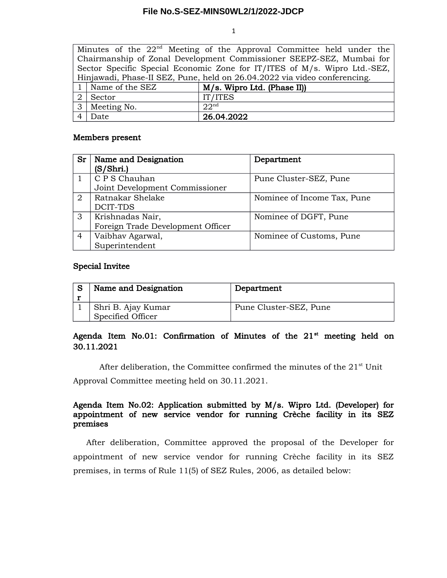#### **File No.S-SEZ-MINS0WL2/1/2022-JDCP**

1

|                                                                           |                                                                      | Minutes of the $22nd$ Meeting of the Approval Committee held under the |  |  |  |  |
|---------------------------------------------------------------------------|----------------------------------------------------------------------|------------------------------------------------------------------------|--|--|--|--|
|                                                                           | Chairmanship of Zonal Development Commissioner SEEPZ-SEZ, Mumbai for |                                                                        |  |  |  |  |
| Sector Specific Special Economic Zone for IT/ITES of M/s. Wipro Ltd.-SEZ, |                                                                      |                                                                        |  |  |  |  |
| Hinjawadi, Phase-II SEZ, Pune, held on 26.04.2022 via video conferencing. |                                                                      |                                                                        |  |  |  |  |
|                                                                           | 1   Name of the SEZ                                                  | M/s. Wipro Ltd. (Phase II)                                             |  |  |  |  |
|                                                                           | Sector                                                               | IT/ITES                                                                |  |  |  |  |
|                                                                           | 3 Meeting No.                                                        | 22 <sup>nd</sup>                                                       |  |  |  |  |
|                                                                           | Date                                                                 | 26.04.2022                                                             |  |  |  |  |

### Members present

| Sr             | Name and Designation              | Department                  |
|----------------|-----------------------------------|-----------------------------|
|                | (S/Shri.)                         |                             |
|                | C P S Chauhan                     | Pune Cluster-SEZ, Pune      |
|                | Joint Development Commissioner    |                             |
| $\overline{2}$ | Ratnakar Shelake                  | Nominee of Income Tax, Pune |
|                | DCIT-TDS                          |                             |
| 3              | Krishnadas Nair,                  | Nominee of DGFT, Pune       |
|                | Foreign Trade Development Officer |                             |
| 4              | Vaibhav Agarwal,                  | Nominee of Customs, Pune    |
|                | Superintendent                    |                             |

#### Special Invitee

| Name and Designation                    | Department             |
|-----------------------------------------|------------------------|
| Shri B. Ajay Kumar<br>Specified Officer | Pune Cluster-SEZ, Pune |

# Agenda Item No.01: Confirmation of Minutes of the  $21^{st}$  meeting held on 30.11.2021

After deliberation, the Committee confirmed the minutes of the  $21<sup>st</sup>$  Unit

Approval Committee meeting held on 30.11.2021.

# Agenda Item No.02: Application submitted by M/s. Wipro Ltd. (Developer) for appointment of new service vendor for running Crèche facility in its SEZ premises

After deliberation, Committee approved the proposal of the Developer for appointment of new service vendor for running Crèche facility in its SEZ premises, in terms of Rule 11(5) of SEZ Rules, 2006, as detailed below: